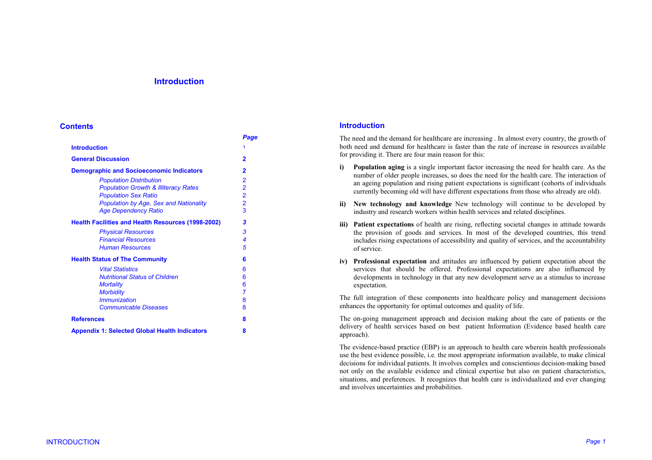# **Introduction**

### **Contents**

|                                                           | Page                    |
|-----------------------------------------------------------|-------------------------|
| <b>Introduction</b>                                       | ١                       |
| <b>General Discussion</b>                                 | $\overline{2}$          |
| <b>Demographic and Socioeconomic Indicators</b>           | $\overline{2}$          |
| <b>Population Distribution</b>                            | 2                       |
| <b>Population Growth &amp; Illiteracy Rates</b>           | $\overline{\mathbf{2}}$ |
| <b>Population Sex Ratio</b>                               | $\overline{\mathbf{2}}$ |
| <b>Population by Age, Sex and Nationality</b>             | $\overline{2}$          |
| <b>Age Dependency Ratio</b>                               | 3                       |
| <b>Health Facilities and Health Resources (1998-2002)</b> | 3                       |
| <b>Physical Resources</b>                                 | 3                       |
| <b>Financial Resources</b>                                | 4                       |
| <b>Human Resources</b>                                    | 5                       |
| <b>Health Status of The Community</b>                     | 6                       |
| <b>Vital Statistics</b>                                   | 6                       |
| <b>Nutritional Status of Children</b>                     | 6                       |
| <b>Mortality</b>                                          | 6                       |
| <b>Morbidity</b>                                          | $\overline{7}$          |
| <i><b>Immunization</b></i>                                | 8                       |
| <b>Communicable Diseases</b>                              | 8                       |
| <b>References</b>                                         | 8                       |
| <b>Appendix 1: Selected Global Health Indicators</b>      | 8                       |

### **Introduction**

The need and the demand for healthcare are increasing . In almost every country, the growth of both need and demand for healthcare is faster than the rate of increase in resources available for providing it. There are four main reason for this:

- **i) Population aging** is a single important factor increasing the need for health care. As the number of older people increases, so does the need for the health care. The interaction of an ageing population and rising patient expectations is significant (cohorts of individuals currently becoming old will have different expectations from those who already are old).
- **ii) New technology and knowledge** New technology will continue to be developed by industry and research workers within health services and related disciplines.
- **iii) Patient expectations** of health are rising, reflecting societal changes in attitude towards the provision of goods and services. In most of the developed countries, this trend includes rising expectations of accessibility and quality of services, and the accountability of service.
- **iv) Professional expectation** and attitudes are influenced by patient expectation about the services that should be offered. Professional expectations are also influenced by developments in technology in that any new development serve as a stimulus to increase expectation.

The full integration of these components into healthcare policy and management decisions enhances the opportunity for optimal outcomes and quality of life.

The on-going management approach and decision making about the care of patients or the delivery of health services based on best patient Information (Evidence based health care approach).

The evidence-based practice (EBP) is an approach to health care wherein health professionals use the best evidence possible, i.e. the most appropriate information available, to make clinical decisions for individual patients. It involves complex and conscientious decision-making based not only on the available evidence and clinical expertise but also on patient characteristics, situations, and preferences. It recognizes that health care is individualized and ever changing and involves uncertainties and probabilities.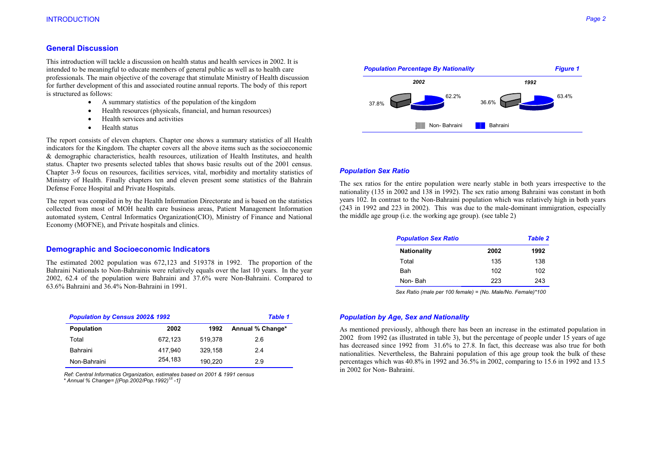## **General Discussion**

This introduction will tackle a discussion on health status and health services in 2002. It is intended to be meaningful to educate members of general public as well as to health care professionals. The main objective of the coverage that stimulate Ministry of Health discussion for further development of this and associated routine annual reports. The body of this report is structured as follows:

- •A summary statistics of the population of the kingdom
- •Health resources (physicals, financial, and human resources)
- •Health services and activities
- •Health status

The report consists of eleven chapters. Chapter one shows a summary statistics of all Health indicators for the Kingdom. The chapter covers all the above items such as the socioeconomic & demographic characteristics, health resources, utilization of Health Institutes, and health status. Chapter two presents selected tables that shows basic results out of the 2001 census. Chapter 3-9 focus on resources, facilities services, vital, morbidity and mortality statistics of Ministry of Health. Finally chapters ten and eleven present some statistics of the Bahrain Defense Force Hospital and Private Hospitals.

The report was compiled in by the Health Information Directorate and is based on the statistics collected from most of MOH health care business areas, Patient Management Information automated system, Central Informatics Organization(CIO), Ministry of Finance and National Economy (MOFNE), and Private hospitals and clinics.

## **Demographic and Socioeconomic Indicators**

The estimated 2002 population was 672,123 and 519378 in 1992. The proportion of the Bahraini Nationals to Non-Bahrainis were relatively equals over the last 10 years. In the year 2002, 62.4 of the population were Bahraini and 37.6% were Non-Bahraini. Compared to 63.6% Bahraini and 36.4% Non-Bahraini in 1991.

| <b>Population by Census 2002&amp; 1992</b> | <b>Table 1</b> |         |                  |
|--------------------------------------------|----------------|---------|------------------|
| <b>Population</b>                          | 2002           | 1992    | Annual % Change* |
| Total                                      | 672.123        | 519.378 | 2.6              |
| Bahraini                                   | 417.940        | 329.158 | 24               |
| Non-Bahraini                               | 254.183        | 190.220 | 2.9              |

*Ref: Central Informatics Organization, estimates based on 2001 & 1991 census \* Annual % Change= [(Pop.2002/Pop.1992)1/t -1]* 



#### *Population Sex Ratio*

The sex ratios for the entire population were nearly stable in both years irrespective to the nationality (135 in 2002 and 138 in 1992). The sex ratio among Bahraini was constant in both years 102. In contrast to the Non-Bahraini population which was relatively high in both years (243 in 1992 and 223 in 2002). This was due to the male-dominant immigration, especially the middle age group (i.e. the working age group). (see table 2)

| <b>Population Sex Ratio</b> |      | <b>Table 2</b> |
|-----------------------------|------|----------------|
| <b>Nationality</b>          | 2002 | 1992           |
| Total                       | 135  | 138            |
| Bah                         | 102  | 102            |
| Non-Bah                     | 223  | 243            |

 *Sex Ratio (male per 100 female) = (No. Male/No. Female)\*100* 

#### *Population by Age, Sex and Nationality*

As mentioned previously, although there has been an increase in the estimated population in 2002 from 1992 (as illustrated in table 3), but the percentage of people under 15 years of age has decreased since 1992 from 31.6% to 27.8. In fact, this decrease was also true for both nationalities. Nevertheless, the Bahraini population of this age group took the bulk of these percentages which was 40.8% in 1992 and 36.5% in 2002, comparing to 15.6 in 1992 and 13.5 in 2002 for Non- Bahraini.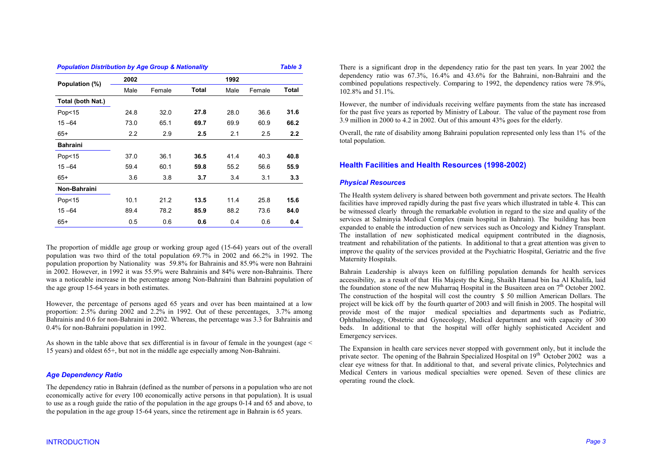| <b>Population Distribution by Age Group &amp; Nationality</b> |      |        |       |      |        |       |
|---------------------------------------------------------------|------|--------|-------|------|--------|-------|
| Population (%)                                                | 2002 |        |       | 1992 |        |       |
|                                                               | Male | Female | Total | Male | Female | Total |
| Total (both Nat.)                                             |      |        |       |      |        |       |
| Pop<15                                                        | 24.8 | 32.0   | 27.8  | 28.0 | 36.6   | 31.6  |
| $15 - 64$                                                     | 73.0 | 65.1   | 69.7  | 69.9 | 60.9   | 66.2  |
| $65+$                                                         | 2.2  | 2.9    | 2.5   | 2.1  | 2.5    | 2.2   |
| <b>Bahraini</b>                                               |      |        |       |      |        |       |
| Pop<15                                                        | 37.0 | 36.1   | 36.5  | 41.4 | 40.3   | 40.8  |
| $15 - 64$                                                     | 59.4 | 60.1   | 59.8  | 55.2 | 56.6   | 55.9  |
| $65+$                                                         | 3.6  | 3.8    | 3.7   | 3.4  | 3.1    | 3.3   |
| Non-Bahraini                                                  |      |        |       |      |        |       |
| Pop<15                                                        | 10.1 | 21.2   | 13.5  | 11.4 | 25.8   | 15.6  |
| $15 - 64$                                                     | 89.4 | 78.2   | 85.9  | 88.2 | 73.6   | 84.0  |
| 65+                                                           | 0.5  | 0.6    | 0.6   | 0.4  | 0.6    | 0.4   |

The proportion of middle age group or working group aged (15-64) years out of the overall population was two third of the total population 69.7% in 2002 and 66.2% in 1992. The population proportion by Nationality was 59.8% for Bahrainis and 85.9% were non Bahraini in 2002. However, in 1992 it was 55.9% were Bahrainis and 84% were non-Bahrainis. There was a noticeable increase in the percentage among Non-Bahraini than Bahraini population of the age group 15-64 years in both estimates.

However, the percentage of persons aged 65 years and over has been maintained at a low proportion: 2.5% during 2002 and 2.2% in 1992. Out of these percentages, 3.7% among Bahrainis and 0.6 for non-Bahraini in 2002. Whereas, the percentage was 3.3 for Bahrainis and 0.4% for non-Bahraini population in 1992.

As shown in the table above that sex differential is in favour of female in the youngest (age < 15 years) and oldest 65+, but not in the middle age especially among Non-Bahraini.

### *Age Dependency Ratio*

The dependency ratio in Bahrain (defined as the number of persons in a population who are not economically active for every 100 economically active persons in that population). It is usual to use as a rough guide the ratio of the population in the age groups 0-14 and 65 and above, to the population in the age group 15-64 years, since the retirement age in Bahrain is 65 years.

There is a significant drop in the dependency ratio for the past ten years. In year 2002 the dependency ratio was 67.3%, 16.4% and 43.6% for the Bahraini, non-Bahraini and the combined populations respectively. Comparing to 1992, the dependency ratios were 78.9%, 102.8% and 51.1%.

However, the number of individuals receiving welfare payments from the state has increased for the past five years as reported by Ministry of Labour. The value of the payment rose from 3.9 million in 2000 to 4.2 in 2002. Out of this amount 43% goes for the elderly.

Overall, the rate of disability among Bahraini population represented only less than 1% of the total population.

# **Health Facilities and Health Resources (1998-2002)**

# *Physical Resources*

The Health system delivery is shared between both government and private sectors. The Health facilities have improved rapidly during the past five years which illustrated in table 4. This can be witnessed clearly through the remarkable evolution in regard to the size and quality of the services at Salminyia Medical Complex (main hospital in Bahrain). The building has been expanded to enable the introduction of new services such as Oncology and Kidney Transplant. The installation of new sophisticated medical equipment contributed in the diagnosis, treatment and rehabilitation of the patients. In additional to that a great attention was given to improve the quality of the services provided at the Psychiatric Hospital, Geriatric and the five Maternity Hospitals.

Bahrain Leadership is always keen on fulfilling population demands for health services accessibility, as a result of that His Majesty the King, Shaikh Hamad bin Isa Al Khalifa, laid the foundation stone of the new Muharraq Hospital in the Busaiteen area on  $7<sup>th</sup>$  October 2002. The construction of the hospital will cost the country \$ 50 million American Dollars. The project will be kick off by the fourth quarter of 2003 and will finish in 2005. The hospital will provide most of the major medical specialties and departments such as Pediatric, Ophthalmology, Obstetric and Gynecology, Medical department and with capacity of 300 beds. In additional to that the hospital will offer highly sophisticated Accident and Emergency services.

The Expansion in health care services never stopped with government only, but it include the private sector. The opening of the Bahrain Specialized Hospital on 19<sup>th</sup> October 2002 was a clear eye witness for that. In additional to that, and several private clinics, Polytechnics and Medical Centers in various medical specialties were opened. Seven of these clinics are operating round the clock.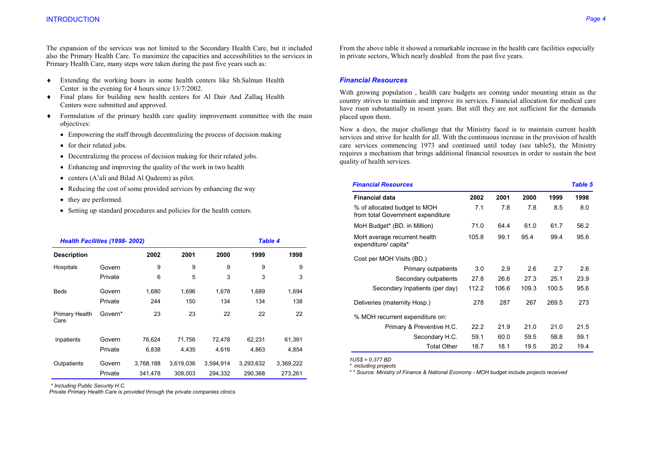The expansion of the services was not limited to the Secondary Health Care, but it included also the Primary Health Care. To maximize the capacities and accessibilities to the services in Primary Health Care, many steps were taken during the past five years such as:

- ♦ Extending the working hours in some health centers like Sh.Salman Health Center in the evening for 4 hours since 13/7/2002.
- ♦ Final plans for building new health centers for Al Dair And Zallaq Health Centers were submitted and approved.
- ♦ Formulation of the primary health care quality improvement committee with the main objectives:
	- Empowering the staff through decentralizing the process of decision making
	- for their related jobs.
	- Decentralizing the process of decision making for their related jobs.
	- Enhancing and improving the quality of the work in two health
	- centers (A'ali and Bilad Al Qadeem) as pilot.
	- Reducing the cost of some provided services by enhancing the way
	- they are performed.
	- Setting up standard procedures and policies for the health centers.

| Health Facilities (1998-2002) |         |           |           |           | <b>Table 4</b> |           |
|-------------------------------|---------|-----------|-----------|-----------|----------------|-----------|
| <b>Description</b>            |         | 2002      | 2001      | 2000      | 1999           | 1998      |
| Hospitals                     | Govern  | 9         | 9         | 9         | 9              | 9         |
|                               | Private | 6         | 5         | 3         | 3              | 3         |
| <b>Beds</b>                   | Govern  | 1,680     | 1,696     | 1,678     | 1,689          | 1,694     |
|                               | Private | 244       | 150       | 134       | 134            | 138       |
| Primary Health<br>Care        | Govern* | 23        | 23        | 22        | 22             | 22        |
| Inpatients                    | Govern  | 76,624    | 71,756    | 72,478    | 62,231         | 61,391    |
|                               | Private | 6,838     | 4,435     | 4,616     | 4,863          | 4,854     |
| Outpatients                   | Govern  | 3,768,188 | 3,619,036 | 3,594,914 | 3,293,632      | 3,369,222 |
|                               | Private | 341.478   | 309.003   | 294.332   | 290.368        | 273.261   |

 *\* Including Public Security H.C.* 

 *Private Primary Health Care is provided through the private companies clinics* 

From the above table it showed a remarkable increase in the health care facilities especially in private sectors, Which nearly doubled from the past five years.

### *Financial Resources*

With growing population , health care budgets are coming under mounting strain as the country strives to maintain and improve its services. Financial allocation for medical care have risen substantially in resent years. But still they are not sufficient for the demands placed upon them.

Now a days, the major challenge that the Ministry faced is to maintain current health services and strive for health for all. With the continuous increase in the provision of health care services commencing 1973 and continued until today (see table5), the Ministry requires a mechanism that brings additional financial resources in order to sustain the best quality of health services.

| <b>Financial Resources</b>                                        |       |       |       |       | <b>Table 5</b> |
|-------------------------------------------------------------------|-------|-------|-------|-------|----------------|
| <b>Financial data</b>                                             | 2002  | 2001  | 2000  | 1999  | 1998           |
| % of allocated budget to MOH<br>from total Government expenditure | 7.1   | 7.8   | 7.8   | 8.5   | 8.0            |
| MoH Budget* (BD. in Million)                                      | 71.0  | 64.4  | 61.0  | 61.7  | 56.2           |
| MoH average recurrent health<br>expenditure/ capita*              | 105.8 | 99.1  | 95.4  | 99.4  | 95.6           |
| Cost per MOH Visits (BD.)                                         |       |       |       |       |                |
| Primary outpatients                                               | 3.0   | 2.9   | 2.6   | 2.7   | 2.6            |
| Secondary outpatients                                             | 27.8  | 26.6  | 27.3  | 25.1  | 23.9           |
| Secondary Inpatients (per day)                                    | 112.2 | 106.6 | 109.3 | 100.5 | 95.6           |
| Deliveries (maternity Hosp.)                                      | 278   | 287   | 267   | 269.5 | 273            |
| % MOH recurrent expenditure on:                                   |       |       |       |       |                |
| Primary & Preventive H.C.                                         | 22.2  | 21.9  | 21.0  | 21.0  | 21.5           |
| Secondary H.C.                                                    | 59.1  | 60.0  | 59.5  | 58.8  | 59.1           |
| <b>Total Other</b>                                                | 18.7  | 18.1  | 19.5  | 20.2  | 19.4           |

 *1US\$ = 0.377 BD* 

 *\* including projects* 

 *\* \* Source: Ministry of Finance & National Economy - MOH budget include projects received*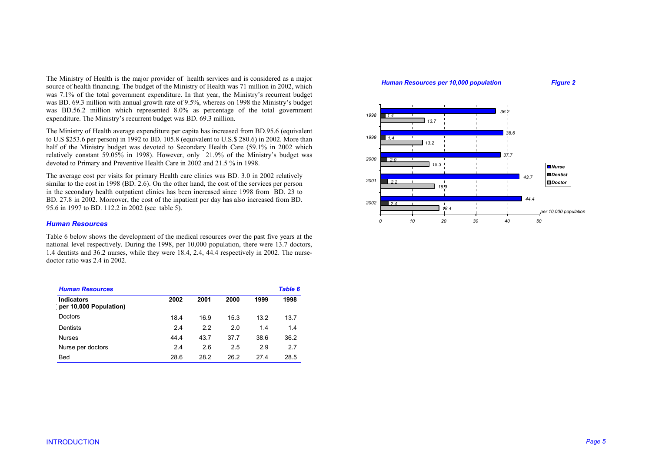The Ministry of Health is the major provider of health services and is considered as a major source of health financing. The budget of the Ministry of Health was 71 million in 2002, which was 7.1% of the total government expenditure. In that year, the Ministry's recurrent budget was BD. 69.3 million with annual growth rate of 9.5%, whereas on 1998 the Ministry's budget was BD.56.2 million which represented 8.0% as percentage of the total government expenditure. The Ministry's recurrent budget was BD. 69.3 million.

The Ministry of Health average expenditure per capita has increased from BD.95.6 (equivalent to U.S \$253.6 per person) in 1992 to BD. 105.8 (equivalent to U.S.\$ 280.6) in 2002. More than half of the Ministry budget was devoted to Secondary Health Care (59.1% in 2002 which relatively constant 59.05% in 1998). However, only 21.9% of the Ministry's budget was devoted to Primary and Preventive Health Care in 2002 and 21.5 % in 1998.

The average cost per visits for primary Health care clinics was BD. 3.0 in 2002 relatively similar to the cost in 1998 (BD, 2.6). On the other hand, the cost of the services per person in the secondary health outpatient clinics has been increased since 1998 from BD. 23 to BD. 27.8 in 2002. Moreover, the cost of the inpatient per day has also increased from BD. 95.6 in 1997 to BD. 112.2 in 2002 (see table 5).

# *Human Resources*

Table 6 below shows the development of the medical resources over the past five years at the national level respectively. During the 1998, per 10,000 population, there were 13.7 doctors, 1.4 dentists and 36.2 nurses, while they were 18.4, 2.4, 44.4 respectively in 2002. The nursedoctor ratio was 2.4 in 2002.

| <b>Human Resources</b>                      |      |      |      |      | Table 6 |
|---------------------------------------------|------|------|------|------|---------|
| <b>Indicators</b><br>per 10,000 Population) | 2002 | 2001 | 2000 | 1999 | 1998    |
| Doctors                                     | 18.4 | 16.9 | 15.3 | 13.2 | 13.7    |
| Dentists                                    | 2.4  | 2.2  | 2.0  | 1.4  | 1.4     |
| <b>Nurses</b>                               | 44.4 | 43.7 | 37.7 | 38.6 | 36.2    |
| Nurse per doctors                           | 2.4  | 2.6  | 2.5  | 2.9  | 2.7     |
| <b>Bed</b>                                  | 28.6 | 28.2 | 26.2 | 274  | 28.5    |

### **Human Resources per 10,000 population Figure 2**

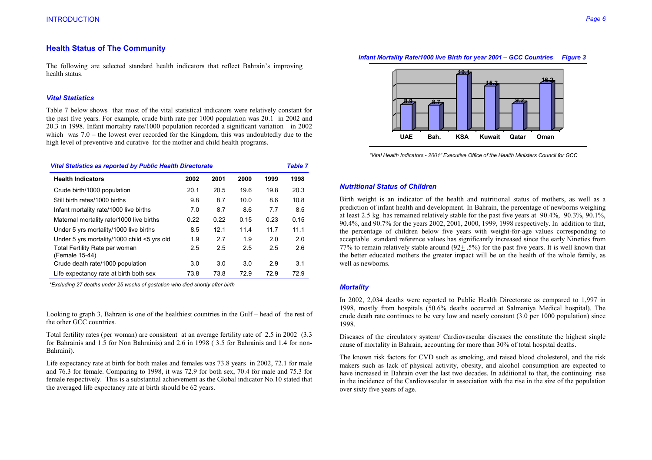# **Health Status of The Community**

The following are selected standard health indicators that reflect Bahrain's improving health status.

### *Vital Statistics*

Table 7 below shows that most of the vital statistical indicators were relatively constant for the past five years. For example, crude birth rate per 1000 population was 20.1 in 2002 and 20.3 in 1998. Infant mortality rate/1000 population recorded a significant variation in 2002 which was 7.0 – the lowest ever recorded for the Kingdom, this was undoubtedly due to the high level of preventive and curative for the mother and child health programs.

| <b>Vital Statistics as reported by Public Health Directorate</b> |      |      |      |      | <b>Table 7</b> |
|------------------------------------------------------------------|------|------|------|------|----------------|
| <b>Health Indicators</b>                                         | 2002 | 2001 | 2000 | 1999 | 1998           |
| Crude birth/1000 population                                      | 20.1 | 20.5 | 19.6 | 19.8 | 20.3           |
| Still birth rates/1000 births                                    | 9.8  | 8.7  | 10.0 | 8.6  | 10.8           |
| Infant mortality rate/1000 live births                           | 7.0  | 8.7  | 8.6  | 7.7  | 8.5            |
| Maternal mortality rate/1000 live births                         | 0.22 | 0.22 | 0.15 | 0.23 | 0.15           |
| Under 5 yrs mortality/1000 live births                           | 8.5  | 12.1 | 11.4 | 11.7 | 11.1           |
| Under 5 yrs mortality/1000 child <5 yrs old                      | 1.9  | 2.7  | 1.9  | 2.0  | 2.0            |
| Total Fertility Rate per woman<br>(Female 15-44)                 | 2.5  | 2.5  | 2.5  | 2.5  | 2.6            |
| Crude death rate/1000 population                                 | 3.0  | 3.0  | 3.0  | 2.9  | 3.1            |
| Life expectancy rate at birth both sex                           | 73.8 | 73.8 | 72.9 | 729  | 72.9           |

 *\*Excluding 27 deaths under 25 weeks of gestation who died shortly after birth* 

Looking to graph 3, Bahrain is one of the healthiest countries in the Gulf – head of the rest of the other GCC countries.

Total fertility rates (per woman) are consistent at an average fertility rate of 2.5 in 2002 (3.3 for Bahrainis and 1.5 for Non Bahrainis) and 2.6 in 1998 ( 3.5 for Bahrainis and 1.4 for non-Bahraini).

Life expectancy rate at birth for both males and females was 73.8 years in 2002, 72.1 for male and 76.3 for female. Comparing to 1998, it was 72.9 for both sex, 70.4 for male and 75.3 for female respectively. This is a substantial achievement as the Global indicator No.10 stated that the averaged life expectancy rate at birth should be 62 years.

### *Infant Mortality Rate/1000 live Birth for year 2001 – GCC Countries Figure 3*



 *"Vital Health Indicators - 2001" Executive Office of the Health Ministers Council for GCC* 

### *Nutritional Status of Children*

Birth weight is an indicator of the health and nutritional status of mothers, as well as a prediction of infant health and development. In Bahrain, the percentage of newborns weighing at least 2.5 kg. has remained relatively stable for the past five years at 90.4%, 90.3%, 90.1%, 90.4%, and 90.7% for the years 2002, 2001, 2000, 1999, 1998 respectively. In addition to that, the percentage of children below five years with weight-for-age values corresponding to acceptable standard reference values has significantly increased since the early Nineties from 77% to remain relatively stable around  $(92 + .5%)$  for the past five years. It is well known that the better educated mothers the greater impact will be on the health of the whole family, as well as newborns.

#### *Mortality*

In 2002, 2,034 deaths were reported to Public Health Directorate as compared to 1,997 in 1998, mostly from hospitals (50.6% deaths occurred at Salmaniya Medical hospital). The crude death rate continues to be very low and nearly constant (3.0 per 1000 population) since 1998.

Diseases of the circulatory system/ Cardiovascular diseases the constitute the highest single cause of mortality in Bahrain, accounting for more than 30% of total hospital deaths.

The known risk factors for CVD such as smoking, and raised blood cholesterol, and the risk makers such as lack of physical activity, obesity, and alcohol consumption are expected to have increased in Bahrain over the last two decades. In additional to that, the continuing rise in the incidence of the Cardiovascular in association with the rise in the size of the population over sixty five years of age.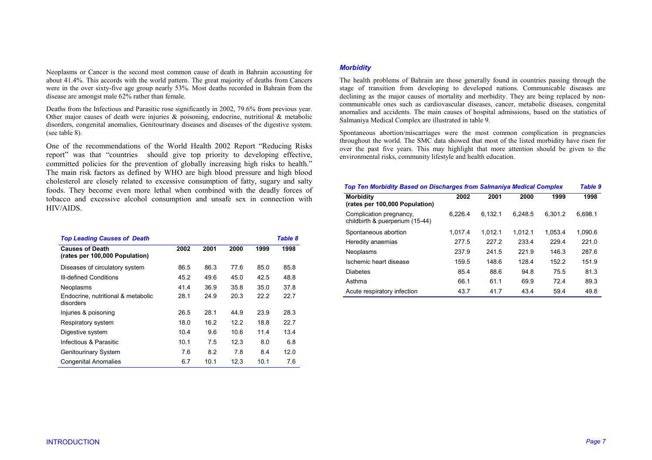Neoplasms or Cancer is the second most common cause of death in Bahrain accounting for about 41.4%. This accords with the world pattern. The great majority of deaths from Cancers were in the over sixty-five age group nearly 53%. Most deaths recorded in Bahrain from the disease are amongst male 62% rather than female.

Deaths from the Infectious and Parasitic rose significantly in 2002, 79.6% from previous year. Other major causes of death were injuries  $\&$  poisoning, endocrine, nutritional  $\&$  metabolic disorders, congenital anomalies, Genitourinary diseases and diseases of the digestive system. (see table 8).

One of the recommendations of the World Health 2002 Report "Reducing Risks repor<sup>t</sup>" was that "countries should give top priority to developing effective, committed policies for the prevention of globally increasing high risks to health." The main risk factors as defined by WHO are high blood pressure and high blood cholesterol are closely related to excessive consumption of fatty, sugary and salty foods. They become even more lethal when combined with the deadly forces of tobacco and excessive alcohol consumption and unsafe sex in connection with HIV/AIDS.

| <b>Top Leading Causes of Death</b>                       |      |      |      |      | Table 8 |
|----------------------------------------------------------|------|------|------|------|---------|
| <b>Causes of Death</b><br>(rates per 100,000 Population) | 2002 | 2001 | 2000 | 1999 | 1998    |
| Diseases of circulatory system                           | 86.5 | 86.3 | 77.6 | 85.0 | 85.8    |
| <b>III-defined Conditions</b>                            | 45.2 | 49.6 | 45.0 | 42.5 | 48.8    |
| Neoplasms                                                | 41.4 | 36.9 | 35.8 | 35.0 | 37.8    |
| Endocrine, nutritional & metabolic<br>disorders          | 28.1 | 24.9 | 20.3 | 22.2 | 22.7    |
| Injuries & poisoning                                     | 26.5 | 28.1 | 44 9 | 23.9 | 28.3    |
| Respiratory system                                       | 18.0 | 16.2 | 122  | 18.8 | 22.7    |
| Digestive system                                         | 10.4 | 9.6  | 10.6 | 11.4 | 13.4    |
| Infectious & Parasitic                                   | 10.1 | 7.5  | 12.3 | 8.0  | 6.8     |
| <b>Genitourinary System</b>                              | 7.6  | 8.2  | 7.8  | 8.4  | 12.0    |
| <b>Congenital Anomalies</b>                              | 6.7  | 10.1 | 12.3 | 10.1 | 7.6     |

# *Morbidity*

The health problems of Bahrain are those generally found in countries passing through the stage of transition from developing to developed nations. Communicable diseases are declining as the major causes of mortality and morbidity. They are being replaced by noncommunicable ones such as cardiovascular diseases, cancer, metabolic diseases, congenital anomalies and accidents. The main causes of hospital admissions, based on the statistics of Salmaniya Medical Complex are illustrated in table 9.

Spontaneous abortion/miscarriages were the most common complication in pregnancies throughout the world. The SMC data showed that most of the listed morbidity have risen for over the past five years. This may highlight that more attention should be given to the environmental risks, community lifestyle and health education.

| <b>Top Ten Morbidity Based on Discharges from Salmaniya Medical Complex</b> |         |         |         |         |         |  |  |
|-----------------------------------------------------------------------------|---------|---------|---------|---------|---------|--|--|
| <b>Morbidity</b><br>(rates per 100,000 Population)                          | 2002    | 2001    | 2000    | 1999    | 1998    |  |  |
| Complication pregnancy,<br>childbirth & puerperium (15-44)                  | 6.226.4 | 6.132.1 | 6.248.5 | 6.301.2 | 6.698.1 |  |  |
| Spontaneous abortion                                                        | 1.017.4 | 1.012.1 | 1.012.1 | 1.053.4 | 1.090.6 |  |  |
| Heredity anaemias                                                           | 277.5   | 227.2   | 233.4   | 229.4   | 221.0   |  |  |
| Neoplasms                                                                   | 237.9   | 241.5   | 221.9   | 146.3   | 287.6   |  |  |
| Ischemic heart disease                                                      | 159.5   | 148.6   | 1284    | 152.2   | 151.9   |  |  |
| <b>Diabetes</b>                                                             | 85.4    | 88.6    | 94.8    | 75.5    | 81.3    |  |  |
| Asthma                                                                      | 66.1    | 61.1    | 69.9    | 724     | 89.3    |  |  |
| Acute respiratory infection                                                 | 43.7    | 41.7    | 43.4    | 59.4    | 49.8    |  |  |